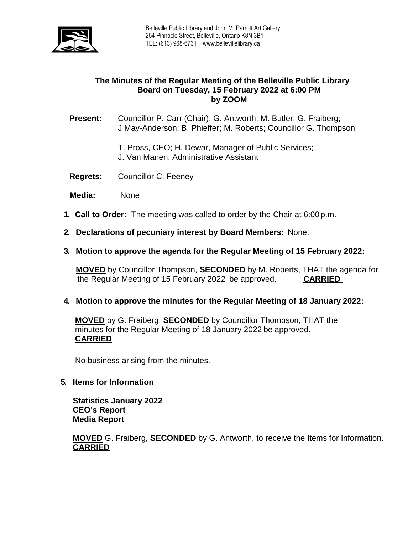

# **The Minutes of the Regular Meeting of the Belleville Public Library Board on Tuesday, 15 February 2022 at 6:00 PM by ZOOM**

**Present:** Councillor P. Carr (Chair); G. Antworth; M. Butler; G. Fraiberg; J May-Anderson; B. Phieffer; M. Roberts; Councillor G. Thompson

- T. Pross, CEO; H. Dewar, Manager of Public Services;
- J. Van Manen, Administrative Assistant
- **Regrets:** Councillor C. Feeney
- **Media:** None
- **1. Call to Order:** The meeting was called to order by the Chair at 6:00 p.m.
- **2. Declarations of pecuniary interest by Board Members:** None.
- **3. Motion to approve the agenda for the Regular Meeting of 15 February 2022:**

**MOVED** by Councillor Thompson, **SECONDED** by M. Roberts, THAT the agenda for the Regular Meeting of 15 February 2022 be approved. **CARRIED**

### **4. Motion to approve the minutes for the Regular Meeting of 18 January 2022:**

**MOVED** by G. Fraiberg, **SECONDED** by Councillor Thompson, THAT the minutes for the Regular Meeting of 18 January 2022 be approved. **CARRIED**

No business arising from the minutes.

**5. Items for Information**

**Statistics January 2022 CEO's Report Media Report**

**MOVED** G. Fraiberg, **SECONDED** by G. Antworth, to receive the Items for Information. **CARRIED**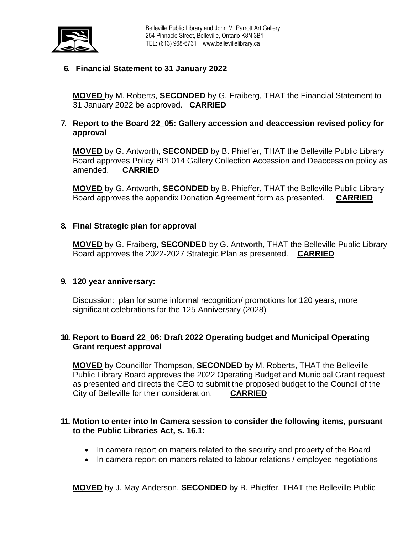

# **6. Financial Statement to 31 January 2022**

**MOVED** by M. Roberts, **SECONDED** by G. Fraiberg, THAT the Financial Statement to 31 January 2022 be approved. **CARRIED**

## **7. Report to the Board 22\_05: Gallery accession and deaccession revised policy for approval**

**MOVED** by G. Antworth, **SECONDED** by B. Phieffer, THAT the Belleville Public Library Board approves Policy BPL014 Gallery Collection Accession and Deaccession policy as amended. **CARRIED**

**MOVED** by G. Antworth, **SECONDED** by B. Phieffer, THAT the Belleville Public Library Board approves the appendix Donation Agreement form as presented. **CARRIED**

#### **8. Final Strategic plan for approval**

**MOVED** by G. Fraiberg, **SECONDED** by G. Antworth, THAT the Belleville Public Library Board approves the 2022-2027 Strategic Plan as presented. **CARRIED**

#### **9. 120 year anniversary:**

Discussion: plan for some informal recognition/ promotions for 120 years, more significant celebrations for the 125 Anniversary (2028)

### **10. Report to Board 22\_06: Draft 2022 Operating budget and Municipal Operating Grant request approval**

**MOVED** by Councillor Thompson, **SECONDED** by M. Roberts, THAT the Belleville Public Library Board approves the 2022 Operating Budget and Municipal Grant request as presented and directs the CEO to submit the proposed budget to the Council of the City of Belleville for their consideration. **CARRIED**

#### **11. Motion to enter into In Camera session to consider the following items, pursuant to the Public Libraries Act, s. 16.1:**

- In camera report on matters related to the security and property of the Board
- In camera report on matters related to labour relations / employee negotiations

**MOVED** by J. May-Anderson, **SECONDED** by B. Phieffer, THAT the Belleville Public